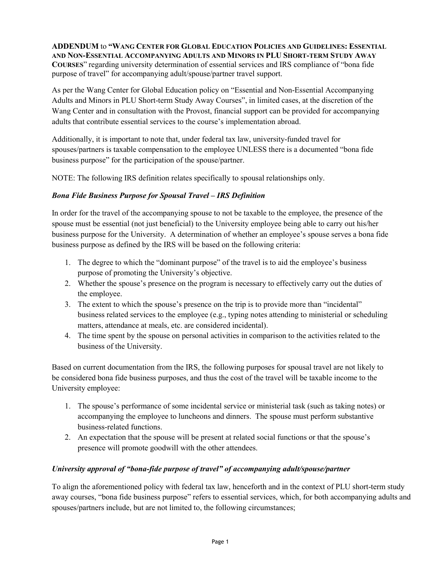**ADDENDUM** to **"WANG CENTER FOR GLOBAL EDUCATION POLICIES AND GUIDELINES: ESSENTIAL AND NON-ESSENTIAL ACCOMPANYING ADULTS AND MINORS IN PLU SHORT-TERM STUDY AWAY COURSES**" regarding university determination of essential services and IRS compliance of "bona fide purpose of travel" for accompanying adult/spouse/partner travel support.

As per the Wang Center for Global Education policy on "Essential and Non-Essential Accompanying Adults and Minors in PLU Short-term Study Away Courses", in limited cases, at the discretion of the Wang Center and in consultation with the Provost, financial support can be provided for accompanying adults that contribute essential services to the course's implementation abroad.

Additionally, it is important to note that, under federal tax law, university-funded travel for spouses/partners is taxable compensation to the employee UNLESS there is a documented "bona fide business purpose" for the participation of the spouse/partner.

NOTE: The following IRS definition relates specifically to spousal relationships only.

## *Bona Fide Business Purpose for Spousal Travel – IRS Definition*

In order for the travel of the accompanying spouse to not be taxable to the employee, the presence of the spouse must be essential (not just beneficial) to the University employee being able to carry out his/her business purpose for the University. A determination of whether an employee's spouse serves a bona fide business purpose as defined by the IRS will be based on the following criteria:

- 1. The degree to which the "dominant purpose" of the travel is to aid the employee's business purpose of promoting the University's objective.
- 2. Whether the spouse's presence on the program is necessary to effectively carry out the duties of the employee.
- 3. The extent to which the spouse's presence on the trip is to provide more than "incidental" business related services to the employee (e.g., typing notes attending to ministerial or scheduling matters, attendance at meals, etc. are considered incidental).
- 4. The time spent by the spouse on personal activities in comparison to the activities related to the business of the University.

Based on current documentation from the IRS, the following purposes for spousal travel are not likely to be considered bona fide business purposes, and thus the cost of the travel will be taxable income to the University employee:

- 1. The spouse's performance of some incidental service or ministerial task (such as taking notes) or accompanying the employee to luncheons and dinners. The spouse must perform substantive business-related functions.
- 2. An expectation that the spouse will be present at related social functions or that the spouse's presence will promote goodwill with the other attendees.

## *University approval of "bona-fide purpose of travel" of accompanying adult/spouse/partner*

To align the aforementioned policy with federal tax law, henceforth and in the context of PLU short-term study away courses, "bona fide business purpose" refers to essential services, which, for both accompanying adults and spouses/partners include, but are not limited to, the following circumstances;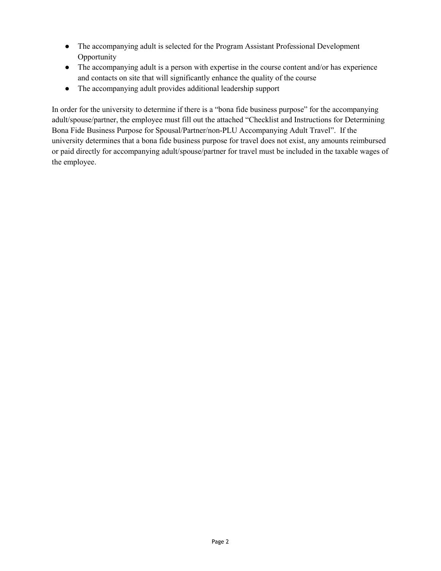- The accompanying adult is selected for the Program Assistant Professional Development Opportunity
- The accompanying adult is a person with expertise in the course content and/or has experience and contacts on site that will significantly enhance the quality of the course
- The accompanying adult provides additional leadership support

In order for the university to determine if there is a "bona fide business purpose" for the accompanying adult/spouse/partner, the employee must fill out the attached "Checklist and Instructions for Determining Bona Fide Business Purpose for Spousal/Partner/non-PLU Accompanying Adult Travel". If the university determines that a bona fide business purpose for travel does not exist, any amounts reimbursed or paid directly for accompanying adult/spouse/partner for travel must be included in the taxable wages of the employee.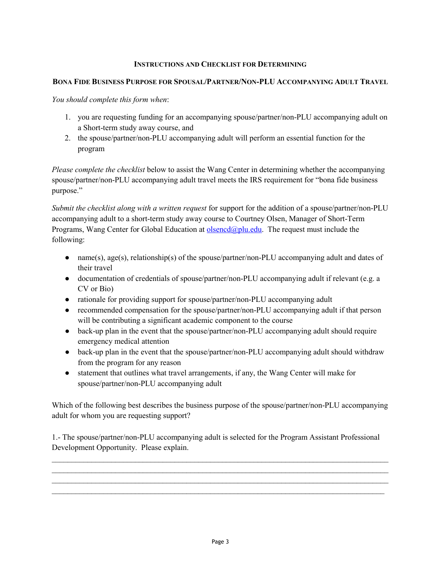## **INSTRUCTIONS AND CHECKLIST FOR DETERMINING**

## **BONA FIDE BUSINESS PURPOSE FOR SPOUSAL/PARTNER/NON-PLU ACCOMPANYING ADULT TRAVEL**

*You should complete this form when*:

- 1. you are requesting funding for an accompanying spouse/partner/non-PLU accompanying adult on a Short-term study away course, and
- 2. the spouse/partner/non-PLU accompanying adult will perform an essential function for the program

*Please complete the checklist* below to assist the Wang Center in determining whether the accompanying spouse/partner/non-PLU accompanying adult travel meets the IRS requirement for "bona fide business purpose."

*Submit the checklist along with a written request* for support for the addition of a spouse/partner/non-PLU accompanying adult to a short-term study away course to Courtney Olsen, Manager of Short-Term Programs, Wang Center for Global Education at  $\alpha$  olsencd $\alpha$  plu.edu. The request must include the following:

- name(s), age(s), relationship(s) of the spouse/partner/non-PLU accompanying adult and dates of their travel
- documentation of credentials of spouse/partner/non-PLU accompanying adult if relevant (e.g. a CV or Bio)
- rationale for providing support for spouse/partner/non-PLU accompanying adult
- recommended compensation for the spouse/partner/non-PLU accompanying adult if that person will be contributing a significant academic component to the course
- back-up plan in the event that the spouse/partner/non-PLU accompanying adult should require emergency medical attention
- back-up plan in the event that the spouse/partner/non-PLU accompanying adult should withdraw from the program for any reason
- statement that outlines what travel arrangements, if any, the Wang Center will make for spouse/partner/non-PLU accompanying adult

Which of the following best describes the business purpose of the spouse/partner/non-PLU accompanying adult for whom you are requesting support?

1.- The spouse/partner/non-PLU accompanying adult is selected for the Program Assistant Professional Development Opportunity. Please explain.

 $\mathcal{L}_\text{max}$  , and the contribution of the contribution of the contribution of the contribution of the contribution of the contribution of the contribution of the contribution of the contribution of the contribution of t  $\mathcal{L}_\text{max}$  , and the contribution of the contribution of the contribution of the contribution of the contribution of the contribution of the contribution of the contribution of the contribution of the contribution of t  $\mathcal{L}_\text{max}$  , and the contribution of the contribution of the contribution of the contribution of the contribution of the contribution of the contribution of the contribution of the contribution of the contribution of t  $\mathcal{L}_\text{max}$  and  $\mathcal{L}_\text{max}$  and  $\mathcal{L}_\text{max}$  and  $\mathcal{L}_\text{max}$  and  $\mathcal{L}_\text{max}$  and  $\mathcal{L}_\text{max}$